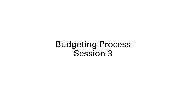Budgeting Process Session 3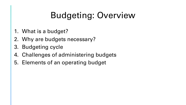# Budgeting: Overview

- 1. What is a budget?
- 2. Why are budgets necessary?
- 3. Budgeting cycle
- 4. Challenges of administering budgets
- 5. Elements of an operating budget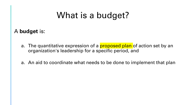## What is a budget?

A **budget** is:

- a. The quantitative expression of a **proposed plan** of action set by an organization's leadership for a specific period, and
- a. An aid to coordinate what needs to be done to implement that plan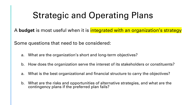## Strategic and Operating Plans

A **budget** is most useful when it is **integrated with an organization's strategy** 

Some questions that need to be considered:

- a. What are the organization's short and long-term objectives?
- b. How does the organization serve the interest of its stakeholders or constituents?
- a. What is the best organizational and financial structure to carry the objectives?
- b. What are the risks and opportunities of alternative strategies, and what are the contingency plans if the preferred plan fails?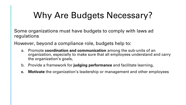## Why Are Budgets Necessary?

Some organizations must have budgets to comply with laws ad regulations

However, beyond a compliance role, budgets help to:

- a. Promote **coordination and communication** among the sub-units of an organization, especially to make sure that all employees understand and carry the organization's goals,
- b. Provide a framework for **judging performance** and facilitate learning,
- **c. Motivate** the organization's leadership or management and other employees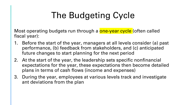# The Budgeting Cycle

Most operating budgets run through a **one-year cycle** (often called fiscal year):

- 1. Before the start of the year, managers at all levels consider (a) past performance, (b) feedback from stakeholders, and (c) anticipated future changes to start planning for the next period
- 2. At the start of the year, the leadership sets specific nonfinancial expectations for the year, these expectations then become detailed plans in terms of cash flows (income and expenses)
- 3. During the year, employees at various levels track and investigate ant deviations from the plan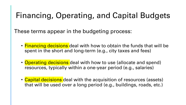### Financing, Operating, and Capital Budgets

These terms appear in the budgeting process:

- Financing decisions deal with how to obtain the funds that will be spent in the short and long-term (e.g., city taxes and fees)
- Operating decisions deal with how to use (allocate and spend) resources, typically within a one-year period (e.g., salaries)
- Capital decisions deal with the acquisition of resources (assets) that will be used over a long period (e.g., buildings, roads, etc.)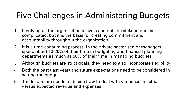## Five Challenges in Administering Budgets

- 1. Involving all the organization's levels and outside stakeholders is complicated, but it is the basis for creating commitment and accountability throughout the organization
- 2. It is a time-consuming process, in the private sector senior managers spend about 10-20% of their time in budgeting and financial planning departments as much as 50% of their time in managing budgets
- 3. Although budgets are strict goals, they need to also incorporate flexibility
- 4. Both the past (last year) and future expectations need to be considered in setting the budget
- 5. The leadership needs to decide how to deal with variances in actual versus expected revenue and expenses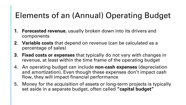### Elements of an (Annual) Operating Budget

- **1. Forecasted revenue**, usually broken down into its drivers and components
- **2. Variable costs** that depend on revenue (can be calculated as a percentage of sales)
- **3. Fixed costs or expenses** that typically do not vary with changes in revenue, at least within the time frame of the operating budget
- 4. An operating budget can include **non-cash expenses** (depreciation and amortization). Even though these expenses don't impact cash flow, they will impact financial performance
- 5. Money for the acquisition of assets or long-term projects is typically set aside in a separate budget, often called **"capital budget"**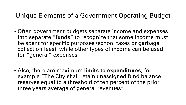#### Unique Elements of a Government Operating Budget

- Often government budgets separate income and expenses into separate "**funds**" to recognize that some income must be spent for specific purposes (school taxes or garbage collection fees), while other types of income can be used for "general" expenses
- Also, there are maximum **limits to expenditures**, for example "The City shall retain unassigned fund balance reserves equal to a threshold of ten percent of the prior three years average of general revenues"